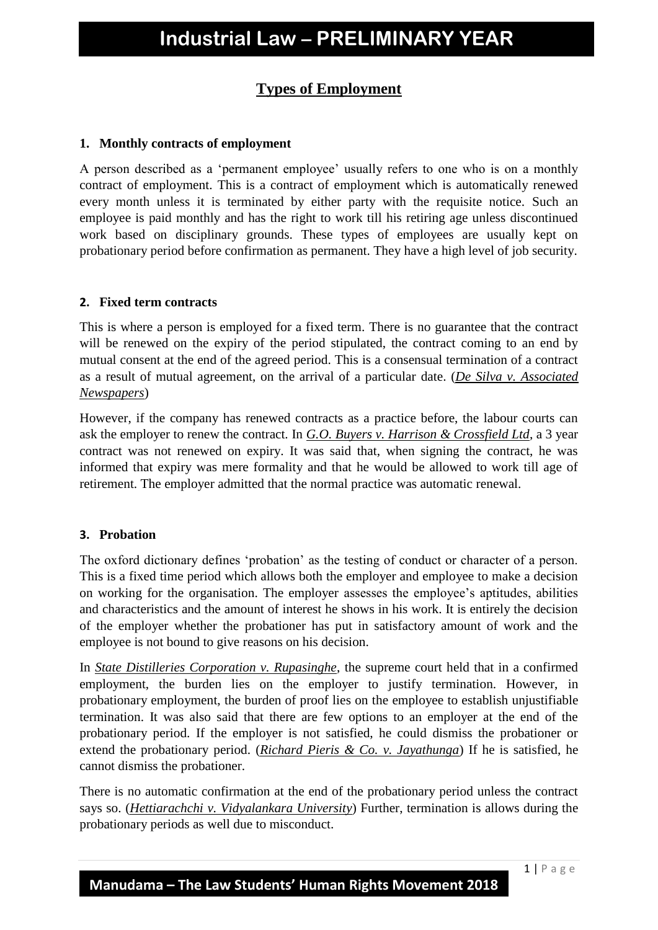## **Types of Employment**

#### **1. Monthly contracts of employment**

A person described as a 'permanent employee' usually refers to one who is on a monthly contract of employment. This is a contract of employment which is automatically renewed every month unless it is terminated by either party with the requisite notice. Such an employee is paid monthly and has the right to work till his retiring age unless discontinued work based on disciplinary grounds. These types of employees are usually kept on probationary period before confirmation as permanent. They have a high level of job security.

#### **2. Fixed term contracts**

This is where a person is employed for a fixed term. There is no guarantee that the contract will be renewed on the expiry of the period stipulated, the contract coming to an end by mutual consent at the end of the agreed period. This is a consensual termination of a contract as a result of mutual agreement, on the arrival of a particular date. (*De Silva v. Associated Newspapers*)

However, if the company has renewed contracts as a practice before, the labour courts can ask the employer to renew the contract. In *G.O. Buyers v. Harrison & Crossfield Ltd*, a 3 year contract was not renewed on expiry. It was said that, when signing the contract, he was informed that expiry was mere formality and that he would be allowed to work till age of retirement. The employer admitted that the normal practice was automatic renewal.

#### **3. Probation**

The oxford dictionary defines 'probation' as the testing of conduct or character of a person. This is a fixed time period which allows both the employer and employee to make a decision on working for the organisation. The employer assesses the employee's aptitudes, abilities and characteristics and the amount of interest he shows in his work. It is entirely the decision of the employer whether the probationer has put in satisfactory amount of work and the employee is not bound to give reasons on his decision.

In *State Distilleries Corporation v. Rupasinghe*, the supreme court held that in a confirmed employment, the burden lies on the employer to justify termination. However, in probationary employment, the burden of proof lies on the employee to establish unjustifiable termination. It was also said that there are few options to an employer at the end of the probationary period. If the employer is not satisfied, he could dismiss the probationer or extend the probationary period. (*Richard Pieris & Co. v. Jayathunga*) If he is satisfied, he cannot dismiss the probationer.

There is no automatic confirmation at the end of the probationary period unless the contract says so. (*Hettiarachchi v. Vidyalankara University*) Further, termination is allows during the probationary periods as well due to misconduct.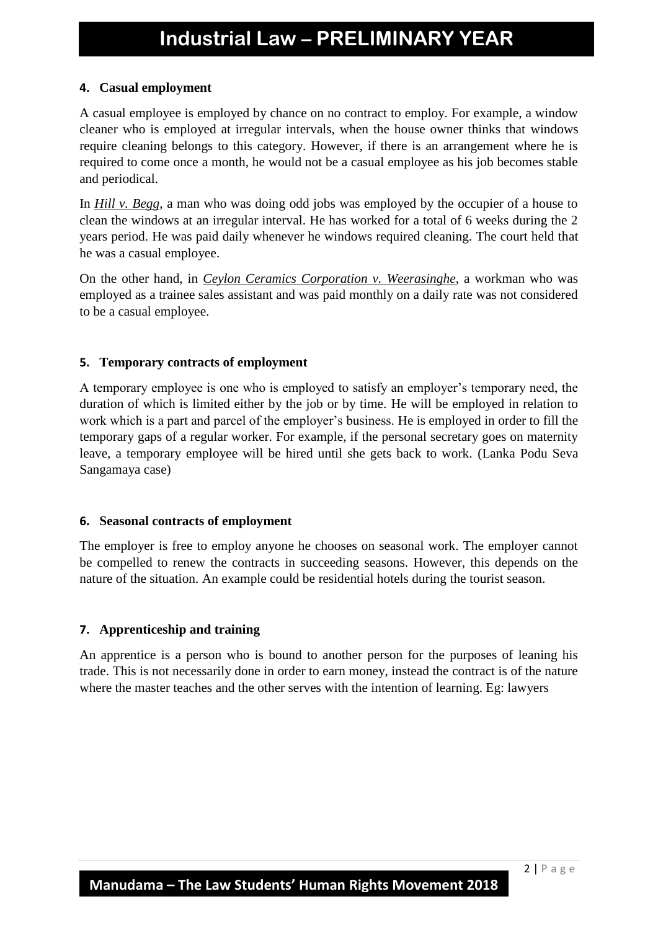## **4. Casual employment**

A casual employee is employed by chance on no contract to employ. For example, a window cleaner who is employed at irregular intervals, when the house owner thinks that windows require cleaning belongs to this category. However, if there is an arrangement where he is required to come once a month, he would not be a casual employee as his job becomes stable and periodical.

In *Hill v. Begg*, a man who was doing odd jobs was employed by the occupier of a house to clean the windows at an irregular interval. He has worked for a total of 6 weeks during the 2 years period. He was paid daily whenever he windows required cleaning. The court held that he was a casual employee.

On the other hand, in *Ceylon Ceramics Corporation v. Weerasinghe*, a workman who was employed as a trainee sales assistant and was paid monthly on a daily rate was not considered to be a casual employee.

## **5. Temporary contracts of employment**

A temporary employee is one who is employed to satisfy an employer's temporary need, the duration of which is limited either by the job or by time. He will be employed in relation to work which is a part and parcel of the employer's business. He is employed in order to fill the temporary gaps of a regular worker. For example, if the personal secretary goes on maternity leave, a temporary employee will be hired until she gets back to work. (Lanka Podu Seva Sangamaya case)

### **6. Seasonal contracts of employment**

The employer is free to employ anyone he chooses on seasonal work. The employer cannot be compelled to renew the contracts in succeeding seasons. However, this depends on the nature of the situation. An example could be residential hotels during the tourist season.

## **7. Apprenticeship and training**

An apprentice is a person who is bound to another person for the purposes of leaning his trade. This is not necessarily done in order to earn money, instead the contract is of the nature where the master teaches and the other serves with the intention of learning. Eg: lawyers